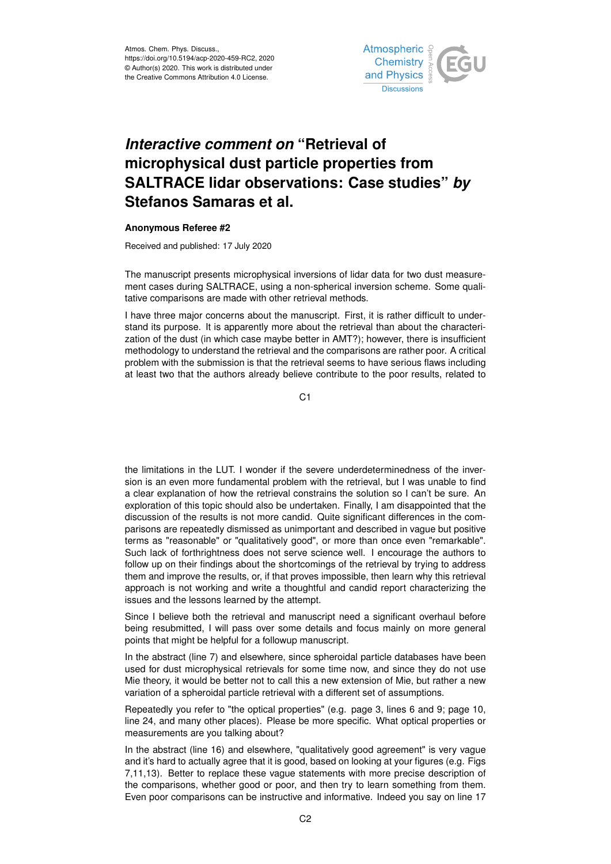

## *Interactive comment on* **"Retrieval of microphysical dust particle properties from SALTRACE lidar observations: Case studies"** *by* **Stefanos Samaras et al.**

## **Anonymous Referee #2**

Received and published: 17 July 2020

The manuscript presents microphysical inversions of lidar data for two dust measurement cases during SALTRACE, using a non-spherical inversion scheme. Some qualitative comparisons are made with other retrieval methods.

I have three major concerns about the manuscript. First, it is rather difficult to understand its purpose. It is apparently more about the retrieval than about the characterization of the dust (in which case maybe better in AMT?); however, there is insufficient methodology to understand the retrieval and the comparisons are rather poor. A critical problem with the submission is that the retrieval seems to have serious flaws including at least two that the authors already believe contribute to the poor results, related to

C1

the limitations in the LUT. I wonder if the severe underdeterminedness of the inversion is an even more fundamental problem with the retrieval, but I was unable to find a clear explanation of how the retrieval constrains the solution so I can't be sure. An exploration of this topic should also be undertaken. Finally, I am disappointed that the discussion of the results is not more candid. Quite significant differences in the comparisons are repeatedly dismissed as unimportant and described in vague but positive terms as "reasonable" or "qualitatively good", or more than once even "remarkable". Such lack of forthrightness does not serve science well. I encourage the authors to follow up on their findings about the shortcomings of the retrieval by trying to address them and improve the results, or, if that proves impossible, then learn why this retrieval approach is not working and write a thoughtful and candid report characterizing the issues and the lessons learned by the attempt.

Since I believe both the retrieval and manuscript need a significant overhaul before being resubmitted, I will pass over some details and focus mainly on more general points that might be helpful for a followup manuscript.

In the abstract (line 7) and elsewhere, since spheroidal particle databases have been used for dust microphysical retrievals for some time now, and since they do not use Mie theory, it would be better not to call this a new extension of Mie, but rather a new variation of a spheroidal particle retrieval with a different set of assumptions.

Repeatedly you refer to "the optical properties" (e.g. page 3, lines 6 and 9; page 10, line 24, and many other places). Please be more specific. What optical properties or measurements are you talking about?

In the abstract (line 16) and elsewhere, "qualitatively good agreement" is very vague and it's hard to actually agree that it is good, based on looking at your figures (e.g. Figs 7,11,13). Better to replace these vague statements with more precise description of the comparisons, whether good or poor, and then try to learn something from them. Even poor comparisons can be instructive and informative. Indeed you say on line 17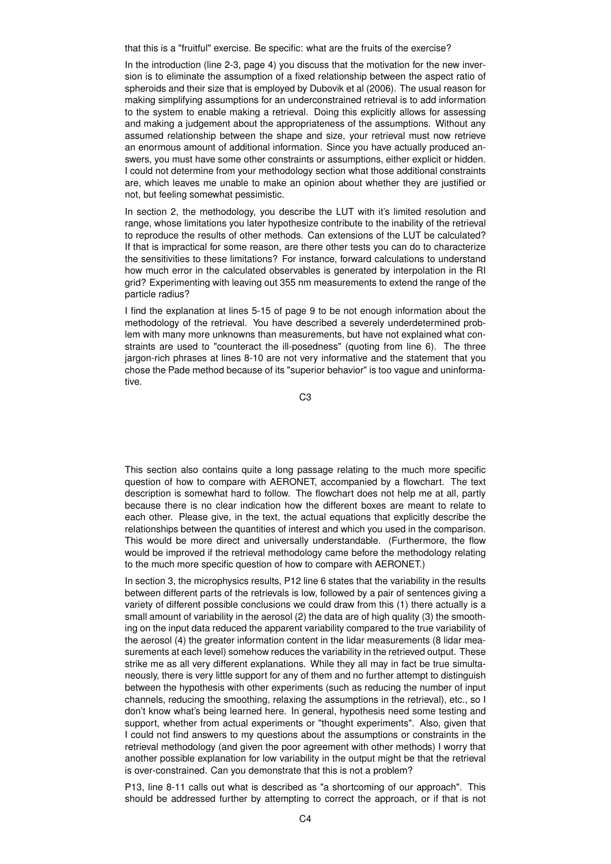that this is a "fruitful" exercise. Be specific: what are the fruits of the exercise?

In the introduction (line 2-3, page 4) you discuss that the motivation for the new inversion is to eliminate the assumption of a fixed relationship between the aspect ratio of spheroids and their size that is employed by Dubovik et al (2006). The usual reason for making simplifying assumptions for an underconstrained retrieval is to add information to the system to enable making a retrieval. Doing this explicitly allows for assessing and making a judgement about the appropriateness of the assumptions. Without any assumed relationship between the shape and size, your retrieval must now retrieve an enormous amount of additional information. Since you have actually produced answers, you must have some other constraints or assumptions, either explicit or hidden. I could not determine from your methodology section what those additional constraints are, which leaves me unable to make an opinion about whether they are justified or not, but feeling somewhat pessimistic.

In section 2, the methodology, you describe the LUT with it's limited resolution and range, whose limitations you later hypothesize contribute to the inability of the retrieval to reproduce the results of other methods. Can extensions of the LUT be calculated? If that is impractical for some reason, are there other tests you can do to characterize the sensitivities to these limitations? For instance, forward calculations to understand how much error in the calculated observables is generated by interpolation in the RI grid? Experimenting with leaving out 355 nm measurements to extend the range of the particle radius?

I find the explanation at lines 5-15 of page 9 to be not enough information about the methodology of the retrieval. You have described a severely underdetermined problem with many more unknowns than measurements, but have not explained what constraints are used to "counteract the ill-posedness" (quoting from line 6). The three jargon-rich phrases at lines 8-10 are not very informative and the statement that you chose the Pade method because of its "superior behavior" is too vague and uninformative.

C3

This section also contains quite a long passage relating to the much more specific question of how to compare with AERONET, accompanied by a flowchart. The text description is somewhat hard to follow. The flowchart does not help me at all, partly because there is no clear indication how the different boxes are meant to relate to each other. Please give, in the text, the actual equations that explicitly describe the relationships between the quantities of interest and which you used in the comparison. This would be more direct and universally understandable. (Furthermore, the flow would be improved if the retrieval methodology came before the methodology relating to the much more specific question of how to compare with AERONET.)

In section 3, the microphysics results, P12 line 6 states that the variability in the results between different parts of the retrievals is low, followed by a pair of sentences giving a variety of different possible conclusions we could draw from this (1) there actually is a small amount of variability in the aerosol (2) the data are of high quality (3) the smoothing on the input data reduced the apparent variability compared to the true variability of the aerosol (4) the greater information content in the lidar measurements (8 lidar measurements at each level) somehow reduces the variability in the retrieved output. These strike me as all very different explanations. While they all may in fact be true simultaneously, there is very little support for any of them and no further attempt to distinguish between the hypothesis with other experiments (such as reducing the number of input channels, reducing the smoothing, relaxing the assumptions in the retrieval), etc., so I don't know what's being learned here. In general, hypothesis need some testing and support, whether from actual experiments or "thought experiments". Also, given that I could not find answers to my questions about the assumptions or constraints in the retrieval methodology (and given the poor agreement with other methods) I worry that another possible explanation for low variability in the output might be that the retrieval is over-constrained. Can you demonstrate that this is not a problem?

P13, line 8-11 calls out what is described as "a shortcoming of our approach". This should be addressed further by attempting to correct the approach, or if that is not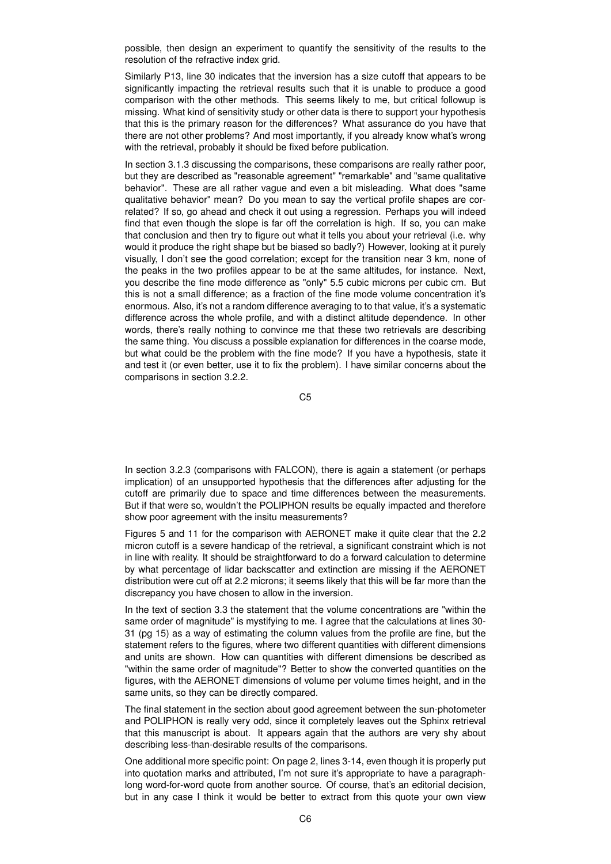possible, then design an experiment to quantify the sensitivity of the results to the resolution of the refractive index grid.

Similarly P13, line 30 indicates that the inversion has a size cutoff that appears to be significantly impacting the retrieval results such that it is unable to produce a good comparison with the other methods. This seems likely to me, but critical followup is missing. What kind of sensitivity study or other data is there to support your hypothesis that this is the primary reason for the differences? What assurance do you have that there are not other problems? And most importantly, if you already know what's wrong with the retrieval, probably it should be fixed before publication.

In section 3.1.3 discussing the comparisons, these comparisons are really rather poor, but they are described as "reasonable agreement" "remarkable" and "same qualitative behavior". These are all rather vague and even a bit misleading. What does "same qualitative behavior" mean? Do you mean to say the vertical profile shapes are correlated? If so, go ahead and check it out using a regression. Perhaps you will indeed find that even though the slope is far off the correlation is high. If so, you can make that conclusion and then try to figure out what it tells you about your retrieval (i.e. why would it produce the right shape but be biased so badly?) However, looking at it purely visually, I don't see the good correlation; except for the transition near 3 km, none of the peaks in the two profiles appear to be at the same altitudes, for instance. Next, you describe the fine mode difference as "only" 5.5 cubic microns per cubic cm. But this is not a small difference; as a fraction of the fine mode volume concentration it's enormous. Also, it's not a random difference averaging to to that value, it's a systematic difference across the whole profile, and with a distinct altitude dependence. In other words, there's really nothing to convince me that these two retrievals are describing the same thing. You discuss a possible explanation for differences in the coarse mode, but what could be the problem with the fine mode? If you have a hypothesis, state it and test it (or even better, use it to fix the problem). I have similar concerns about the comparisons in section 3.2.2.

C5

In section 3.2.3 (comparisons with FALCON), there is again a statement (or perhaps implication) of an unsupported hypothesis that the differences after adjusting for the cutoff are primarily due to space and time differences between the measurements. But if that were so, wouldn't the POLIPHON results be equally impacted and therefore show poor agreement with the insitu measurements?

Figures 5 and 11 for the comparison with AERONET make it quite clear that the 2.2 micron cutoff is a severe handicap of the retrieval, a significant constraint which is not in line with reality. It should be straightforward to do a forward calculation to determine by what percentage of lidar backscatter and extinction are missing if the AERONET distribution were cut off at 2.2 microns; it seems likely that this will be far more than the discrepancy you have chosen to allow in the inversion.

In the text of section 3.3 the statement that the volume concentrations are "within the same order of magnitude" is mystifying to me. I agree that the calculations at lines 30- 31 (pg 15) as a way of estimating the column values from the profile are fine, but the statement refers to the figures, where two different quantities with different dimensions and units are shown. How can quantities with different dimensions be described as "within the same order of magnitude"? Better to show the converted quantities on the figures, with the AERONET dimensions of volume per volume times height, and in the same units, so they can be directly compared.

The final statement in the section about good agreement between the sun-photometer and POLIPHON is really very odd, since it completely leaves out the Sphinx retrieval that this manuscript is about. It appears again that the authors are very shy about describing less-than-desirable results of the comparisons.

One additional more specific point: On page 2, lines 3-14, even though it is properly put into quotation marks and attributed, I'm not sure it's appropriate to have a paragraphlong word-for-word quote from another source. Of course, that's an editorial decision, but in any case I think it would be better to extract from this quote your own view